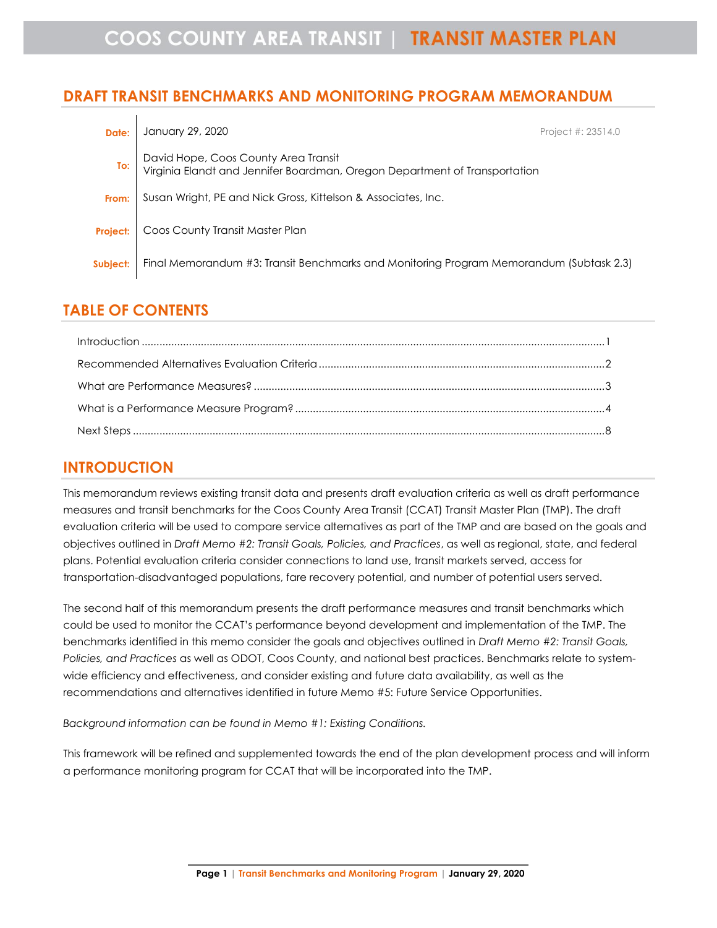# **DRAFT TRANSIT BENCHMARKS AND MONITORING PROGRAM MEMORANDUM**

| Date:           | January 29, 2020                                                                                                   | Project #: 23514.0 |
|-----------------|--------------------------------------------------------------------------------------------------------------------|--------------------|
| To:             | David Hope, Coos County Area Transit<br>Virginia Elandt and Jennifer Boardman, Oregon Department of Transportation |                    |
| From:           | Susan Wright, PE and Nick Gross, Kittelson & Associates, Inc.                                                      |                    |
| <b>Project:</b> | Coos County Transit Master Plan                                                                                    |                    |
| Subject:        | Final Memorandum #3: Transit Benchmarks and Monitoring Program Memorandum (Subtask 2.3)                            |                    |

## **TABLE OF CONTENTS**

# <span id="page-0-0"></span>**INTRODUCTION**

This memorandum reviews existing transit data and presents draft evaluation criteria as well as draft performance measures and transit benchmarks for the Coos County Area Transit (CCAT) Transit Master Plan (TMP). The draft evaluation criteria will be used to compare service alternatives as part of the TMP and are based on the goals and objectives outlined in *Draft Memo #2: Transit Goals, Policies, and Practices*, as well as regional, state, and federal plans. Potential evaluation criteria consider connections to land use, transit markets served, access for transportation-disadvantaged populations, fare recovery potential, and number of potential users served.

The second half of this memorandum presents the draft performance measures and transit benchmarks which could be used to monitor the CCAT's performance beyond development and implementation of the TMP. The benchmarks identified in this memo consider the goals and objectives outlined in *Draft Memo #2: Transit Goals, Policies, and Practices* as well as ODOT, Coos County, and national best practices. Benchmarks relate to systemwide efficiency and effectiveness, and consider existing and future data availability, as well as the recommendations and alternatives identified in future Memo #5: Future Service Opportunities.

*Background information can be found in Memo #1: Existing Conditions.*

This framework will be refined and supplemented towards the end of the plan development process and will inform a performance monitoring program for CCAT that will be incorporated into the TMP.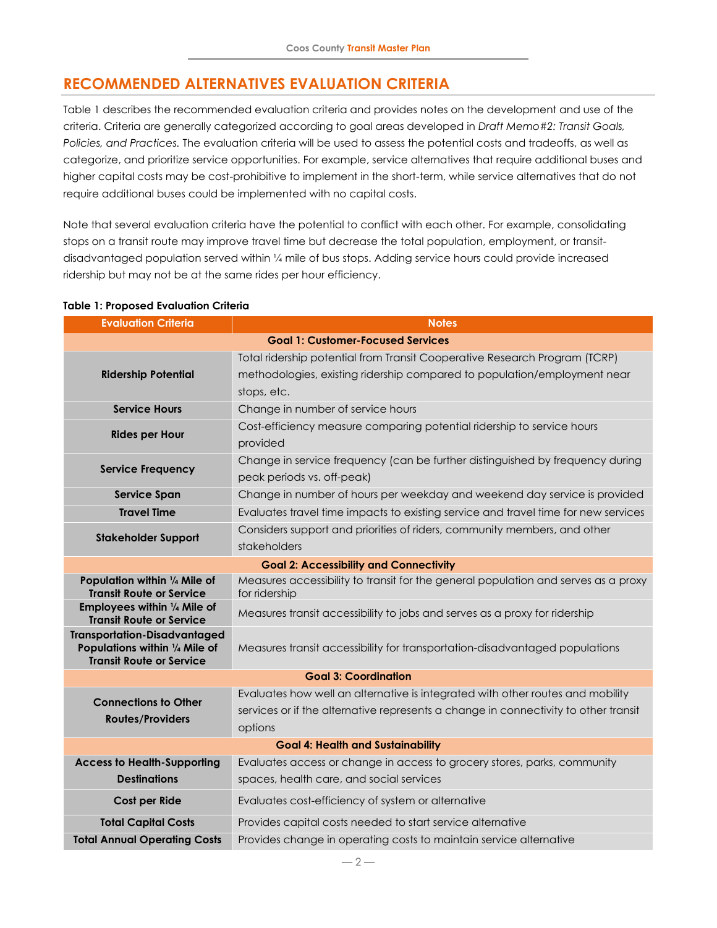# <span id="page-1-0"></span>**RECOMMENDED ALTERNATIVES EVALUATION CRITERIA**

[Table 1](#page-1-1) describes the recommended evaluation criteria and provides notes on the development and use of the criteria. Criteria are generally categorized according to goal areas developed in *Draft Memo#2: Transit Goals, Policies, and Practices.* The evaluation criteria will be used to assess the potential costs and tradeoffs, as well as categorize, and prioritize service opportunities. For example, service alternatives that require additional buses and higher capital costs may be cost-prohibitive to implement in the short-term, while service alternatives that do not require additional buses could be implemented with no capital costs.

Note that several evaluation criteria have the potential to conflict with each other. For example, consolidating stops on a transit route may improve travel time but decrease the total population, employment, or transitdisadvantaged population served within ¼ mile of bus stops. Adding service hours could provide increased ridership but may not be at the same rides per hour efficiency.

| <b>Evaluation Criteria</b>                                                                               | <b>Notes</b>                                                                                                |  |  |  |  |  |
|----------------------------------------------------------------------------------------------------------|-------------------------------------------------------------------------------------------------------------|--|--|--|--|--|
| <b>Goal 1: Customer-Focused Services</b>                                                                 |                                                                                                             |  |  |  |  |  |
|                                                                                                          | Total ridership potential from Transit Cooperative Research Program (TCRP)                                  |  |  |  |  |  |
| <b>Ridership Potential</b>                                                                               | methodologies, existing ridership compared to population/employment near                                    |  |  |  |  |  |
|                                                                                                          | stops, etc.                                                                                                 |  |  |  |  |  |
| <b>Service Hours</b>                                                                                     | Change in number of service hours                                                                           |  |  |  |  |  |
| <b>Rides per Hour</b>                                                                                    | Cost-efficiency measure comparing potential ridership to service hours<br>provided                          |  |  |  |  |  |
| <b>Service Frequency</b>                                                                                 | Change in service frequency (can be further distinguished by frequency during<br>peak periods vs. off-peak) |  |  |  |  |  |
| <b>Service Span</b>                                                                                      | Change in number of hours per weekday and weekend day service is provided                                   |  |  |  |  |  |
| <b>Travel Time</b>                                                                                       | Evaluates travel time impacts to existing service and travel time for new services                          |  |  |  |  |  |
| <b>Stakeholder Support</b>                                                                               | Considers support and priorities of riders, community members, and other                                    |  |  |  |  |  |
|                                                                                                          | stakeholders                                                                                                |  |  |  |  |  |
| <b>Goal 2: Accessibility and Connectivity</b>                                                            |                                                                                                             |  |  |  |  |  |
| Population within 1/4 Mile of<br><b>Transit Route or Service</b>                                         | Measures accessibility to transit for the general population and serves as a proxy<br>for ridership         |  |  |  |  |  |
| Employees within 1/4 Mile of<br><b>Transit Route or Service</b>                                          | Measures transit accessibility to jobs and serves as a proxy for ridership                                  |  |  |  |  |  |
| <b>Transportation-Disadvantaged</b><br>Populations within 1/4 Mile of<br><b>Transit Route or Service</b> | Measures transit accessibility for transportation-disadvantaged populations                                 |  |  |  |  |  |
|                                                                                                          | <b>Goal 3: Coordination</b>                                                                                 |  |  |  |  |  |
| <b>Connections to Other</b>                                                                              | Evaluates how well an alternative is integrated with other routes and mobility                              |  |  |  |  |  |
| <b>Routes/Providers</b>                                                                                  | services or if the alternative represents a change in connectivity to other transit                         |  |  |  |  |  |
|                                                                                                          | options                                                                                                     |  |  |  |  |  |
| <b>Goal 4: Health and Sustainability</b>                                                                 |                                                                                                             |  |  |  |  |  |
| <b>Access to Health-Supporting</b>                                                                       | Evaluates access or change in access to grocery stores, parks, community                                    |  |  |  |  |  |
| <b>Destinations</b>                                                                                      | spaces, health care, and social services                                                                    |  |  |  |  |  |
| Cost per Ride                                                                                            | Evaluates cost-efficiency of system or alternative                                                          |  |  |  |  |  |
| <b>Total Capital Costs</b>                                                                               | Provides capital costs needed to start service alternative                                                  |  |  |  |  |  |
| <b>Total Annual Operating Costs</b>                                                                      | Provides change in operating costs to maintain service alternative                                          |  |  |  |  |  |

#### <span id="page-1-1"></span>**Table 1: Proposed Evaluation Criteria**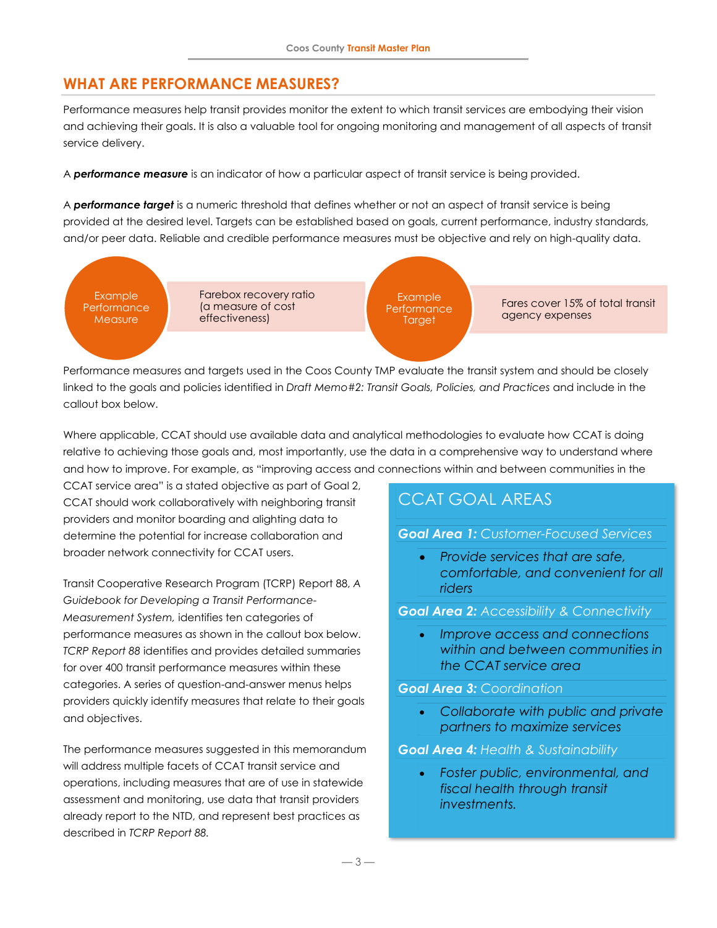## <span id="page-2-0"></span>**WHAT ARE PERFORMANCE MEASURES?**

Performance measures help transit provides monitor the extent to which transit services are embodying their vision and achieving their goals. It is also a valuable tool for ongoing monitoring and management of all aspects of transit service delivery.

A *performance measure* is an indicator of how a particular aspect of transit service is being provided.

A *performance target* is a numeric threshold that defines whether or not an aspect of transit service is being provided at the desired level. Targets can be established based on goals, current performance, industry standards, and/or peer data. Reliable and credible performance measures must be objective and rely on high-quality data.



Performance measures and targets used in the Coos County TMP evaluate the transit system and should be closely linked to the goals and policies identified in *Draft Memo#2: Transit Goals, Policies, and Practices* and include in the callout box below.

Where applicable, CCAT should use available data and analytical methodologies to evaluate how CCAT is doing relative to achieving those goals and, most importantly, use the data in a comprehensive way to understand where and how to improve. For example, as "improving access and connections within and between communities in the

CCAT service area" is a stated objective as part of Goal 2, CCAT should work collaboratively with neighboring transit providers and monitor boarding and alighting data to determine the potential for increase collaboration and broader network connectivity for CCAT users.

Transit Cooperative Research Program (TCRP) Report 88, *A Guidebook for Developing a Transit Performance-Measurement System,* identifies ten categories of performance measures as shown in the callout box below. *TCRP Report 88* identifies and provides detailed summaries for over 400 transit performance measures within these categories. A series of question-and-answer menus helps providers quickly identify measures that relate to their goals and objectives.

The performance measures suggested in this memorandum will address multiple facets of CCAT transit service and operations, including measures that are of use in statewide assessment and monitoring, use data that transit providers already report to the NTD, and represent best practices as described in *TCRP Report 88.*

# CCAT GOAL AREAS

#### *Goal Area 1: Customer-Focused Services*

• *Provide services that are safe, comfortable, and convenient for all riders*

#### *Goal Area 2: Accessibility & Connectivity*

• *Improve access and connections within and between communities in the CCAT service area*

#### *Goal Area 3: Coordination*

• *Collaborate with public and private partners to maximize services*

#### *Goal Area 4: Health & Sustainability*

• *Foster public, environmental, and fiscal health through transit investments.*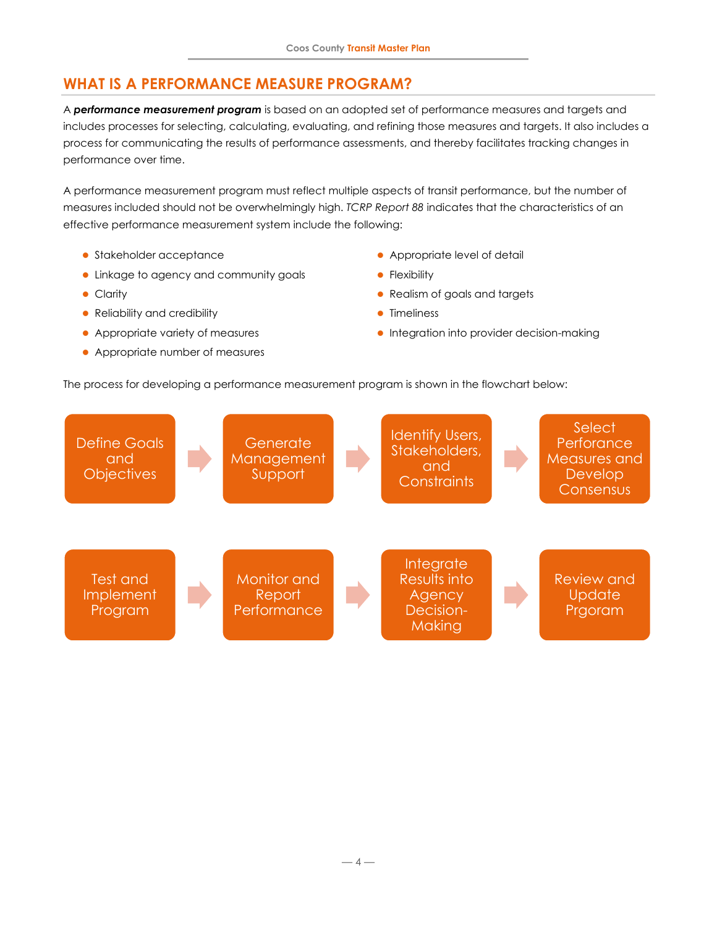# <span id="page-3-0"></span>**WHAT IS A PERFORMANCE MEASURE PROGRAM?**

A *performance measurement program* is based on an adopted set of performance measures and targets and includes processes for selecting, calculating, evaluating, and refining those measures and targets. It also includes a process for communicating the results of performance assessments, and thereby facilitates tracking changes in performance over time.

A performance measurement program must reflect multiple aspects of transit performance, but the number of measures included should not be overwhelmingly high. *TCRP Report 88* indicates that the characteristics of an effective performance measurement system include the following:

- Stakeholder acceptance
- Linkage to agency and community goals
- ⚫ Clarity
- Reliability and credibility
- ⚫ Appropriate variety of measures
- ⚫ Appropriate number of measures
- ⚫ Appropriate level of detail
- **•** Flexibility
- ⚫ Realism of goals and targets
- ⚫ Timeliness
- ⚫ Integration into provider decision-making

The process for developing a performance measurement program is shown in the flowchart below:

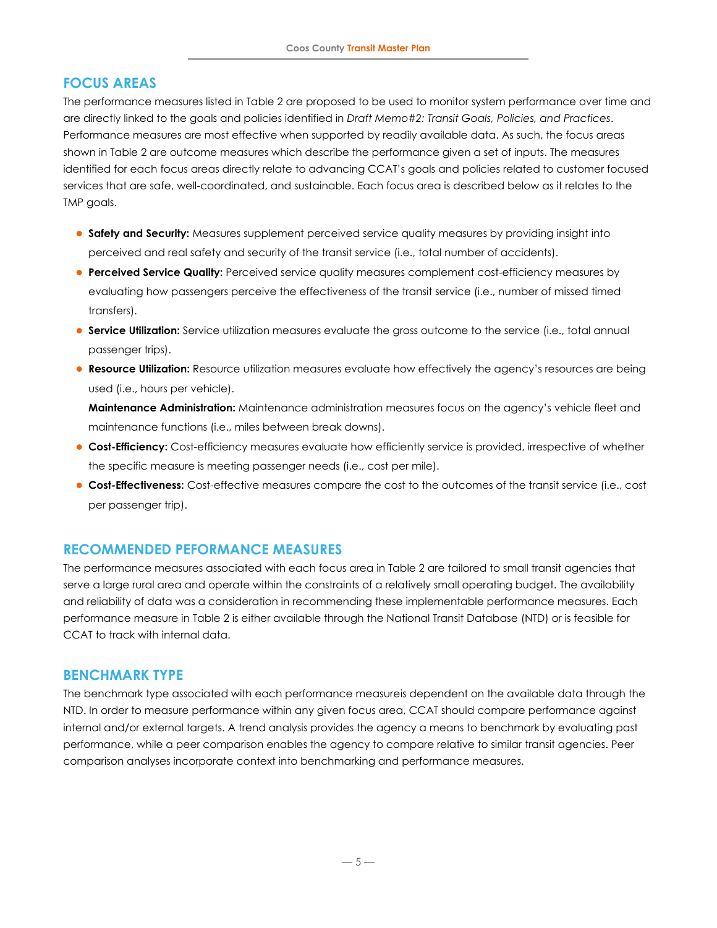## **FOCUS AREAS**

The performance measures listed in [Table 2](#page-5-0) are proposed to be used to monitor system performance over time and are directly linked to the goals and policies identified in *Draft Memo#2: Transit Goals, Policies, and Practices*. Performance measures are most effective when supported by readily available data. As such, the focus areas shown in [Table 2](#page-5-0) are outcome measures which describe the performance given a set of inputs. The measures identified for each focus areas directly relate to advancing CCAT's goals and policies related to customer focused services that are safe, well-coordinated, and sustainable. Each focus area is described below as it relates to the TMP goals.

- **Safety and Security:** Measures supplement perceived service quality measures by providing insight into perceived and real safety and security of the transit service (i.e., total number of accidents).
- **Perceived Service Quality:** Perceived service quality measures complement cost-efficiency measures by evaluating how passengers perceive the effectiveness of the transit service (i.e., number of missed timed transfers).
- ⚫ **Service Utilization:** Service utilization measures evaluate the gross outcome to the service (i.e., total annual passenger trips).
- ⚫ **Resource Utilization:** Resource utilization measures evaluate how effectively the agency's resources are being used (i.e., hours per vehicle).

**Maintenance Administration:** Maintenance administration measures focus on the agency's vehicle fleet and maintenance functions (i.e., miles between break downs).

- ⚫ **Cost-Efficiency:** Cost-efficiency measures evaluate how efficiently service is provided, irrespective of whether the specific measure is meeting passenger needs (i.e., cost per mile).
- ⚫ **Cost-Effectiveness:** Cost-effective measures compare the cost to the outcomes of the transit service (i.e., cost per passenger trip).

### **RECOMMENDED PEFORMANCE MEASURES**

The performance measures associated with each focus area i[n Table 2](#page-5-0) are tailored to small transit agencies that serve a large rural area and operate within the constraints of a relatively small operating budget. The availability and reliability of data was a consideration in recommending these implementable performance measures. Each performance measure i[n Table 2](#page-5-0) is either available through the National Transit Database (NTD) or is feasible for CCAT to track with internal data.

#### **BENCHMARK TYPE**

The benchmark type associated with each performance measureis dependent on the available data through the NTD. In order to measure performance within any given focus area, CCAT should compare performance against internal and/or external targets. A trend analysis provides the agency a means to benchmark by evaluating past performance, while a peer comparison enables the agency to compare relative to similar transit agencies. Peer comparison analyses incorporate context into benchmarking and performance measures.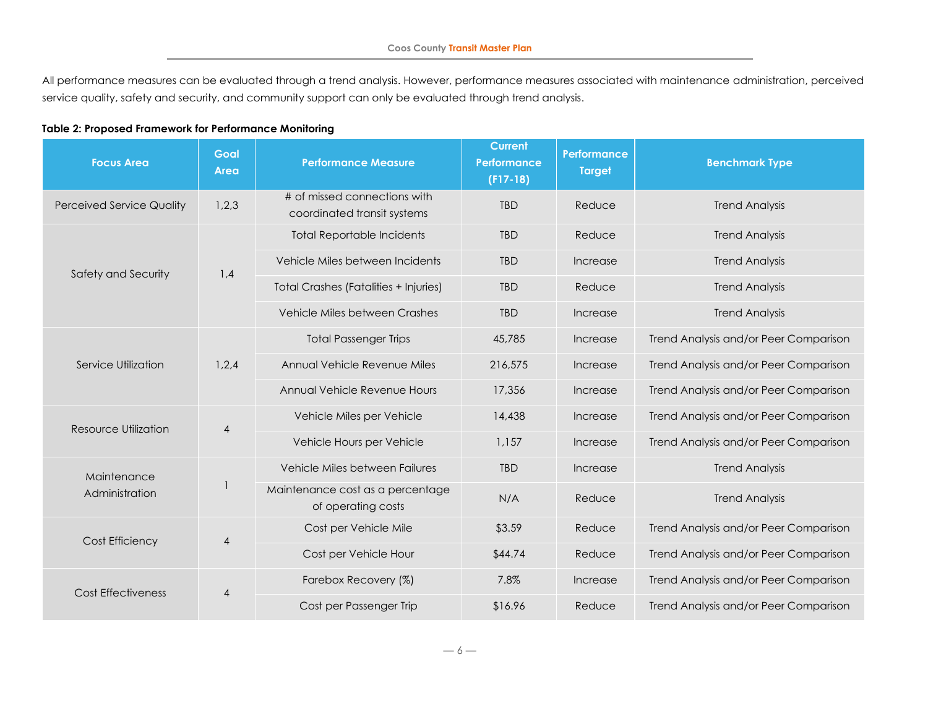All performance measures can be evaluated through a trend analysis. However, performance measures associated with maintenance administration, perceived service quality, safety and security, and community support can only be evaluated through trend analysis.

#### **Table 2: Proposed Framework for Performance Monitoring**

<span id="page-5-0"></span>

| <b>Focus Area</b>                | Goal<br>Area | <b>Performance Measure</b>                                  | <b>Current</b><br><b>Performance</b><br>$(F17-18)$ | Performance<br><b>Target</b> | <b>Benchmark Type</b>                 |
|----------------------------------|--------------|-------------------------------------------------------------|----------------------------------------------------|------------------------------|---------------------------------------|
| <b>Perceived Service Quality</b> | 1,2,3        | # of missed connections with<br>coordinated transit systems | <b>TBD</b>                                         | Reduce                       | <b>Trend Analysis</b>                 |
|                                  | 1,4          | <b>Total Reportable Incidents</b>                           | <b>TBD</b>                                         | Reduce                       | <b>Trend Analysis</b>                 |
| Safety and Security              |              | Vehicle Miles between Incidents                             | <b>TBD</b>                                         | Increase                     | <b>Trend Analysis</b>                 |
|                                  |              | <b>Total Crashes (Fatalities + Injuries)</b>                | <b>TBD</b>                                         | Reduce                       | <b>Trend Analysis</b>                 |
|                                  |              | Vehicle Miles between Crashes                               | <b>TBD</b>                                         | Increase                     | <b>Trend Analysis</b>                 |
|                                  | 1,2,4        | <b>Total Passenger Trips</b>                                | 45,785                                             | Increase                     | Trend Analysis and/or Peer Comparison |
| Service Utilization              |              | Annual Vehicle Revenue Miles                                | 216,575                                            | Increase                     | Trend Analysis and/or Peer Comparison |
|                                  |              | Annual Vehicle Revenue Hours                                | 17,356                                             | Increase                     | Trend Analysis and/or Peer Comparison |
| Resource Utilization             | 4            | Vehicle Miles per Vehicle                                   | 14,438                                             | Increase                     | Trend Analysis and/or Peer Comparison |
|                                  |              | Vehicle Hours per Vehicle                                   | 1,157                                              | Increase                     | Trend Analysis and/or Peer Comparison |
| Maintenance                      |              | Vehicle Miles between Failures                              | <b>TBD</b>                                         | Increase                     | <b>Trend Analysis</b>                 |
| Administration                   |              | Maintenance cost as a percentage<br>of operating costs      | N/A                                                | Reduce                       | <b>Trend Analysis</b>                 |
| Cost Efficiency                  | 4            | Cost per Vehicle Mile                                       | \$3.59                                             | Reduce                       | Trend Analysis and/or Peer Comparison |
|                                  |              | Cost per Vehicle Hour                                       | \$44.74                                            | Reduce                       | Trend Analysis and/or Peer Comparison |
| <b>Cost Effectiveness</b>        | 4            | Farebox Recovery (%)                                        | 7.8%                                               | Increase                     | Trend Analysis and/or Peer Comparison |
|                                  |              | Cost per Passenger Trip                                     | \$16.96                                            | Reduce                       | Trend Analysis and/or Peer Comparison |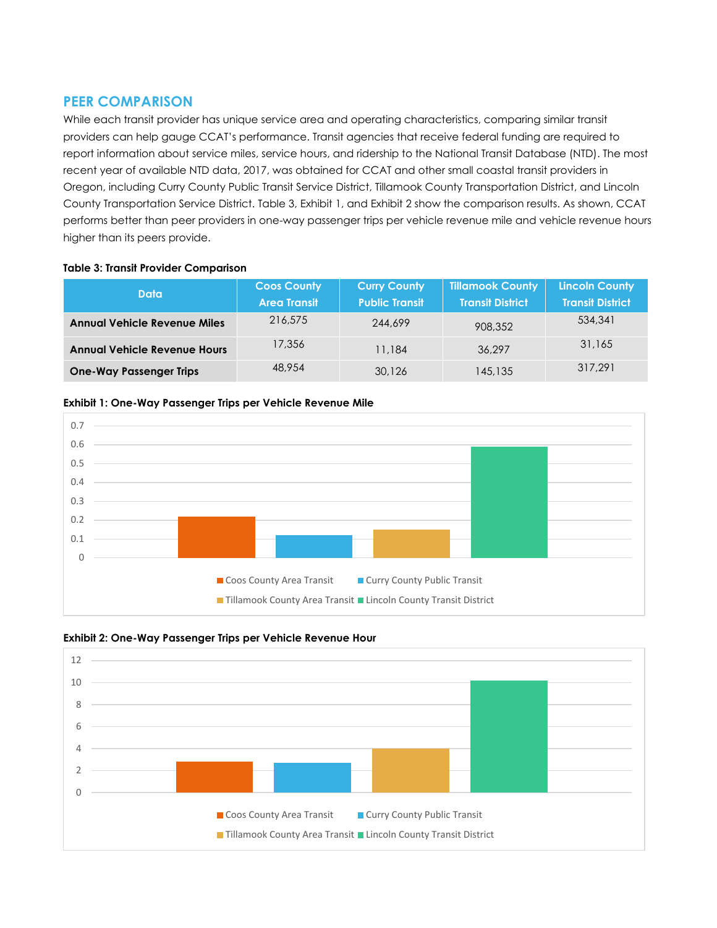### **PEER COMPARISON**

While each transit provider has unique service area and operating characteristics, comparing similar transit providers can help gauge CCAT's performance. Transit agencies that receive federal funding are required to report information about service miles, service hours, and ridership to the National Transit Database (NTD). The most recent year of available NTD data, 2017, was obtained for CCAT and other small coastal transit providers in Oregon, including Curry County Public Transit Service District, Tillamook County Transportation District, and Lincoln County Transportation Service District. [Table 3,](#page-6-0) [Exhibit 1,](#page-6-1) an[d Exhibit 2](#page-6-2) show the comparison results. As shown, CCAT performs better than peer providers in one-way passenger trips per vehicle revenue mile and vehicle revenue hours higher than its peers provide.

#### <span id="page-6-0"></span>**Table 3: Transit Provider Comparison**

| <b>Data</b>                         | <b>Coos County</b><br><b>Area Transit</b> | <b>Curry County</b><br><b>Public Transit</b> | <b>Tillamook County</b><br><b>Transit District</b> | <b>Lincoln County</b><br><b>Transit District</b> |
|-------------------------------------|-------------------------------------------|----------------------------------------------|----------------------------------------------------|--------------------------------------------------|
| <b>Annual Vehicle Revenue Miles</b> | 216,575                                   | 244,699                                      | 908.352                                            | 534,341                                          |
| <b>Annual Vehicle Revenue Hours</b> | 17,356                                    | 11,184                                       | 36.297                                             | 31,165                                           |
| <b>One-Way Passenger Trips</b>      | 48.954                                    | 30,126                                       | 145,135                                            | 317.291                                          |

#### <span id="page-6-1"></span>**Exhibit 1: One-Way Passenger Trips per Vehicle Revenue Mile**



<span id="page-6-2"></span>